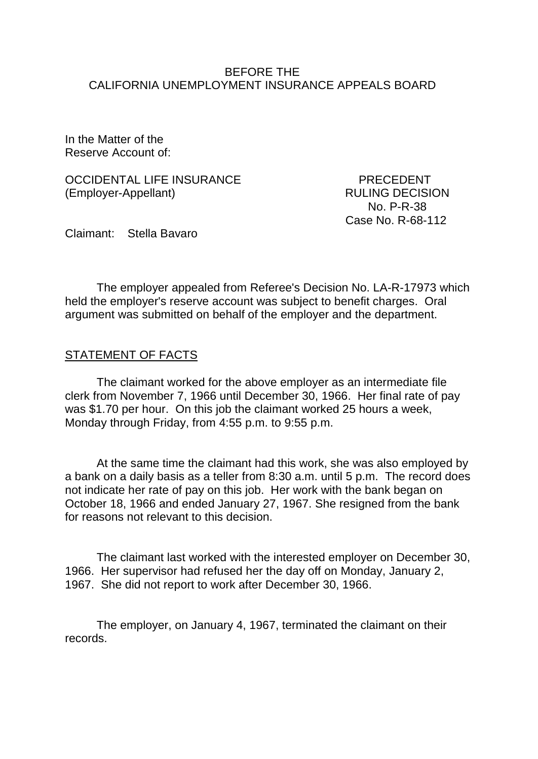#### BEFORE THE CALIFORNIA UNEMPLOYMENT INSURANCE APPEALS BOARD

In the Matter of the Reserve Account of:

OCCIDENTAL LIFE INSURANCE PRECEDENT (Employer-Appellant) RULING DECISION

 No. P-R-38 Case No. R-68-112

Claimant: Stella Bavaro

The employer appealed from Referee's Decision No. LA-R-17973 which held the employer's reserve account was subject to benefit charges. Oral argument was submitted on behalf of the employer and the department.

### STATEMENT OF FACTS

The claimant worked for the above employer as an intermediate file clerk from November 7, 1966 until December 30, 1966. Her final rate of pay was \$1.70 per hour. On this job the claimant worked 25 hours a week, Monday through Friday, from 4:55 p.m. to 9:55 p.m.

At the same time the claimant had this work, she was also employed by a bank on a daily basis as a teller from 8:30 a.m. until 5 p.m. The record does not indicate her rate of pay on this job. Her work with the bank began on October 18, 1966 and ended January 27, 1967. She resigned from the bank for reasons not relevant to this decision.

The claimant last worked with the interested employer on December 30, 1966. Her supervisor had refused her the day off on Monday, January 2, 1967. She did not report to work after December 30, 1966.

The employer, on January 4, 1967, terminated the claimant on their records.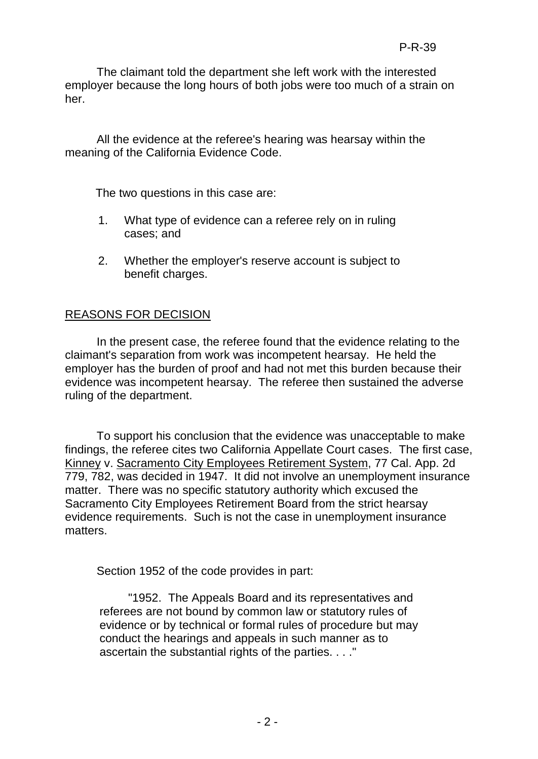The claimant told the department she left work with the interested employer because the long hours of both jobs were too much of a strain on her.

All the evidence at the referee's hearing was hearsay within the meaning of the California Evidence Code.

The two questions in this case are:

- 1. What type of evidence can a referee rely on in ruling cases; and
- 2. Whether the employer's reserve account is subject to benefit charges.

# REASONS FOR DECISION

In the present case, the referee found that the evidence relating to the claimant's separation from work was incompetent hearsay. He held the employer has the burden of proof and had not met this burden because their evidence was incompetent hearsay. The referee then sustained the adverse ruling of the department.

To support his conclusion that the evidence was unacceptable to make findings, the referee cites two California Appellate Court cases. The first case, Kinney v. Sacramento City Employees Retirement System, 77 Cal. App. 2d 779, 782, was decided in 1947. It did not involve an unemployment insurance matter. There was no specific statutory authority which excused the Sacramento City Employees Retirement Board from the strict hearsay evidence requirements. Such is not the case in unemployment insurance matters.

Section 1952 of the code provides in part:

"1952. The Appeals Board and its representatives and referees are not bound by common law or statutory rules of evidence or by technical or formal rules of procedure but may conduct the hearings and appeals in such manner as to ascertain the substantial rights of the parties. . . ."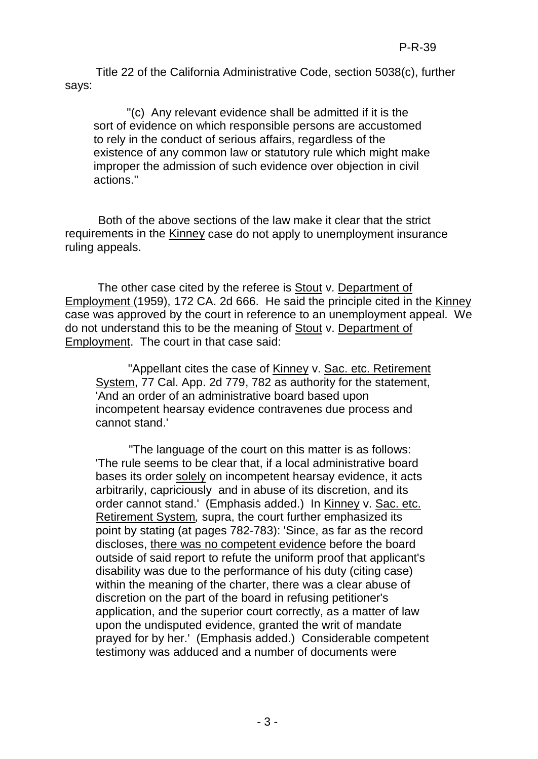Title 22 of the California Administrative Code, section 5038(c), further says:

"(c) Any relevant evidence shall be admitted if it is the sort of evidence on which responsible persons are accustomed to rely in the conduct of serious affairs, regardless of the existence of any common law or statutory rule which might make improper the admission of such evidence over objection in civil actions."

Both of the above sections of the law make it clear that the strict requirements in the Kinney case do not apply to unemployment insurance ruling appeals.

The other case cited by the referee is Stout v. Department of Employment (1959), 172 CA. 2d 666. He said the principle cited in the Kinney case was approved by the court in reference to an unemployment appeal. We do not understand this to be the meaning of Stout v. Department of Employment. The court in that case said:

"Appellant cites the case of Kinney v. Sac. etc. Retirement System, 77 Cal. App. 2d 779, 782 as authority for the statement, 'And an order of an administrative board based upon incompetent hearsay evidence contravenes due process and cannot stand.'

"The language of the court on this matter is as follows: 'The rule seems to be clear that, if a local administrative board bases its order solely on incompetent hearsay evidence, it acts arbitrarily, capriciously and in abuse of its discretion, and its order cannot stand.' (Emphasis added.) In Kinney v. Sac. etc. Retirement System*,* supra, the court further emphasized its point by stating (at pages 782-783): 'Since, as far as the record discloses, there was no competent evidence before the board outside of said report to refute the uniform proof that applicant's disability was due to the performance of his duty (citing case) within the meaning of the charter, there was a clear abuse of discretion on the part of the board in refusing petitioner's application, and the superior court correctly, as a matter of law upon the undisputed evidence, granted the writ of mandate prayed for by her.' (Emphasis added.) Considerable competent testimony was adduced and a number of documents were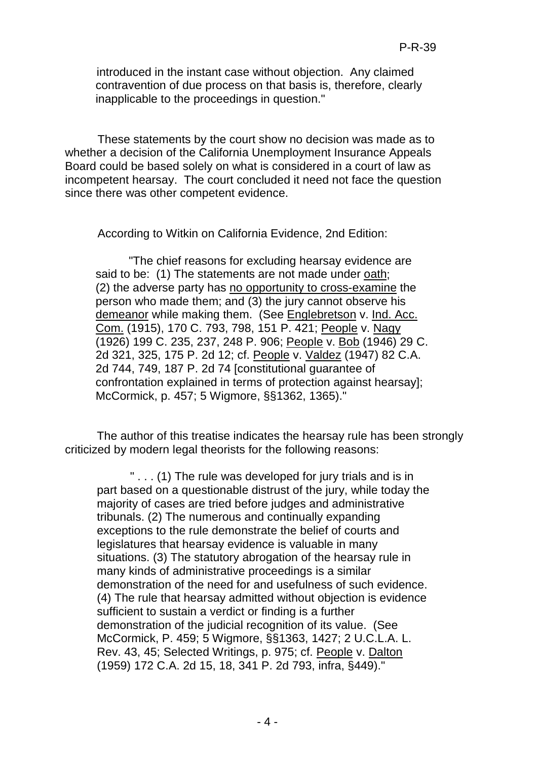introduced in the instant case without objection. Any claimed contravention of due process on that basis is, therefore, clearly inapplicable to the proceedings in question."

These statements by the court show no decision was made as to whether a decision of the California Unemployment Insurance Appeals Board could be based solely on what is considered in a court of law as incompetent hearsay. The court concluded it need not face the question since there was other competent evidence.

According to Witkin on California Evidence, 2nd Edition:

"The chief reasons for excluding hearsay evidence are said to be: (1) The statements are not made under oath; (2) the adverse party has no opportunity to cross-examine the person who made them; and (3) the jury cannot observe his demeanor while making them. (See Englebretson v. Ind. Acc. Com. (1915), 170 C. 793, 798, 151 P. 421; People v. Nagy (1926) 199 C. 235, 237, 248 P. 906; People v. Bob (1946) 29 C. 2d 321, 325, 175 P. 2d 12; cf. People v. Valdez (1947) 82 C.A. 2d 744, 749, 187 P. 2d 74 [constitutional guarantee of confrontation explained in terms of protection against hearsay]; McCormick, p. 457; 5 Wigmore, §§1362, 1365)."

The author of this treatise indicates the hearsay rule has been strongly criticized by modern legal theorists for the following reasons:

" . . . (1) The rule was developed for jury trials and is in part based on a questionable distrust of the jury, while today the majority of cases are tried before judges and administrative tribunals. (2) The numerous and continually expanding exceptions to the rule demonstrate the belief of courts and legislatures that hearsay evidence is valuable in many situations. (3) The statutory abrogation of the hearsay rule in many kinds of administrative proceedings is a similar demonstration of the need for and usefulness of such evidence. (4) The rule that hearsay admitted without objection is evidence sufficient to sustain a verdict or finding is a further demonstration of the judicial recognition of its value. (See McCormick, P. 459; 5 Wigmore, §§1363, 1427; 2 U.C.L.A. L. Rev. 43, 45; Selected Writings, p. 975; cf. People v. Dalton (1959) 172 C.A. 2d 15, 18, 341 P. 2d 793, infra, §449)."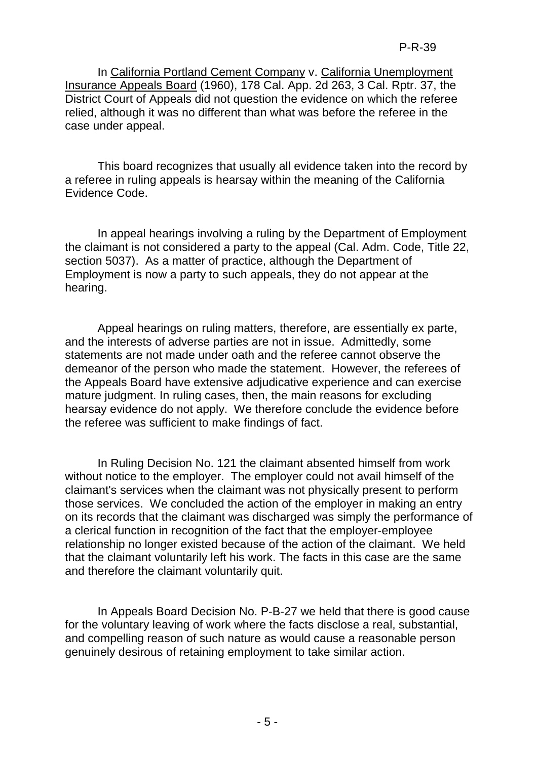In California Portland Cement Company v. California Unemployment Insurance Appeals Board (1960), 178 Cal. App. 2d 263, 3 Cal. Rptr. 37, the District Court of Appeals did not question the evidence on which the referee relied, although it was no different than what was before the referee in the case under appeal.

This board recognizes that usually all evidence taken into the record by a referee in ruling appeals is hearsay within the meaning of the California Evidence Code.

In appeal hearings involving a ruling by the Department of Employment the claimant is not considered a party to the appeal (Cal. Adm. Code, Title 22, section 5037). As a matter of practice, although the Department of Employment is now a party to such appeals, they do not appear at the hearing.

Appeal hearings on ruling matters, therefore, are essentially ex parte, and the interests of adverse parties are not in issue. Admittedly, some statements are not made under oath and the referee cannot observe the demeanor of the person who made the statement. However, the referees of the Appeals Board have extensive adjudicative experience and can exercise mature judgment. In ruling cases, then, the main reasons for excluding hearsay evidence do not apply. We therefore conclude the evidence before the referee was sufficient to make findings of fact.

In Ruling Decision No. 121 the claimant absented himself from work without notice to the employer. The employer could not avail himself of the claimant's services when the claimant was not physically present to perform those services. We concluded the action of the employer in making an entry on its records that the claimant was discharged was simply the performance of a clerical function in recognition of the fact that the employer-employee relationship no longer existed because of the action of the claimant. We held that the claimant voluntarily left his work. The facts in this case are the same and therefore the claimant voluntarily quit.

In Appeals Board Decision No. P-B-27 we held that there is good cause for the voluntary leaving of work where the facts disclose a real, substantial, and compelling reason of such nature as would cause a reasonable person genuinely desirous of retaining employment to take similar action.